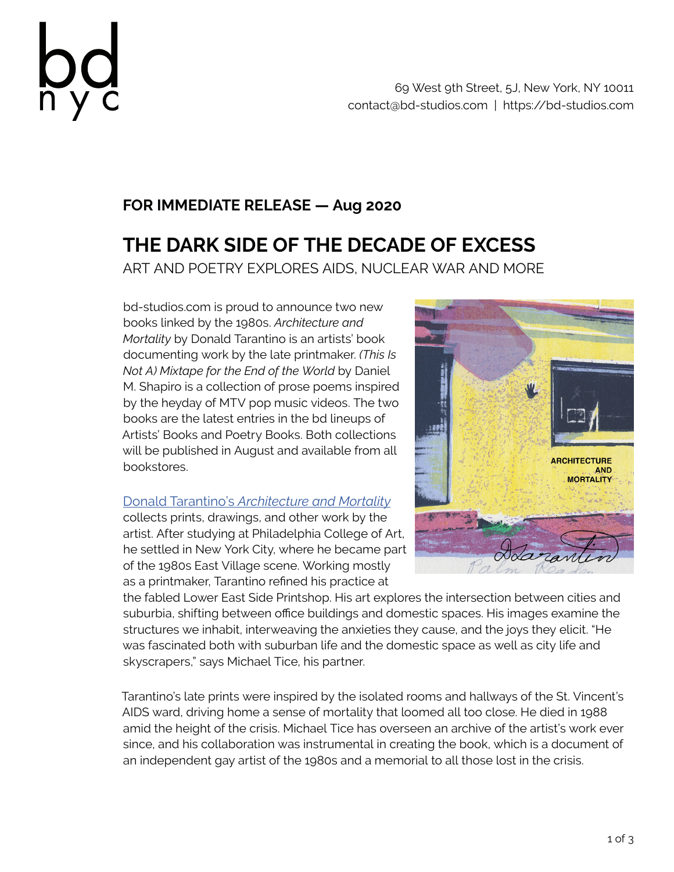

# **FOR IMMEDIATE RELEASE — Aug 2020**

# **THE DARK SIDE OF THE DECADE OF EXCESS** ART AND POETRY EXPLORES AIDS, NUCLEAR WAR AND MORE

bd-studios.com is proud to announce two new books linked by the 1980s. *Architecture and Mortality* by Donald Tarantino is an artists' book documenting work by the late printmaker. *(This Is Not A) Mixtape for the End of the World* by Daniel M. Shapiro is a collection of prose poems inspired by the heyday of MTV pop music videos. The two books are the latest entries in the bd lineups of Artists' Books and Poetry Books. Both collections will be published in August and available from all bookstores.

## Donald Tarantino's *Architecture and Mortality*

collects prints, drawings, and other work by the artist. After studying at Philadelphia College of Art, he settled in New York City, where he became part of the 1980s East Village scene. Working mostly as a printmaker, Tarantino refined his practice at



the fabled Lower East Side Printshop. His art explores the intersection between cities and suburbia, shifting between office buildings and domestic spaces. His images examine the structures we inhabit, interweaving the anxieties they cause, and the joys they elicit. "He was fascinated both with suburban life and the domestic space as well as city life and skyscrapers," says Michael Tice, his partner.

Tarantino's late prints were inspired by the isolated rooms and hallways of the St. Vincent's AIDS ward, driving home a sense of mortality that loomed all too close. He died in 1988 amid the height of the crisis. Michael Tice has overseen an archive of the artist's work ever since, and his collaboration was instrumental in creating the book, which is a document of an independent gay artist of the 1980s and a memorial to all those lost in the crisis.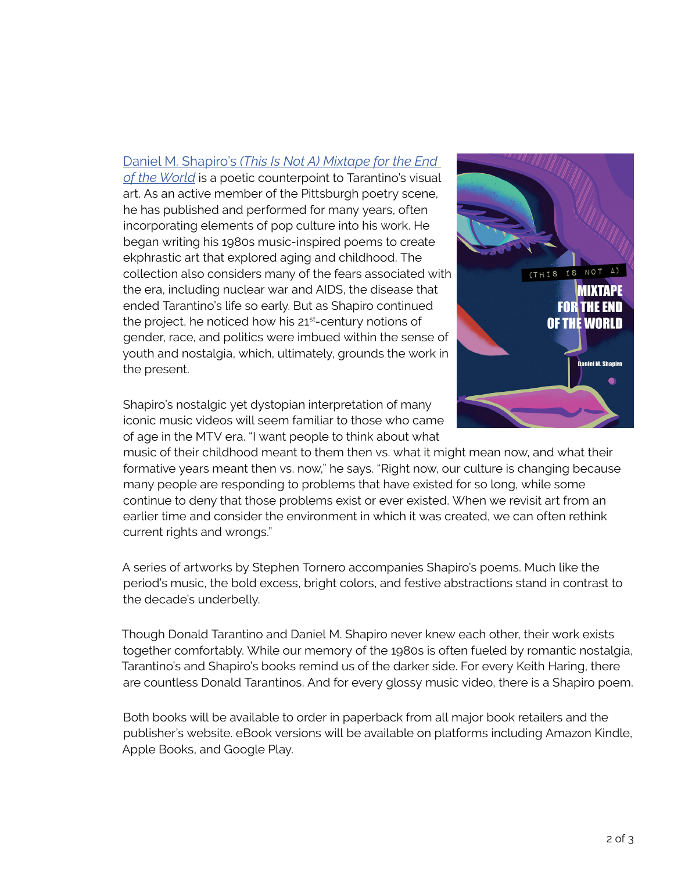### Daniel M. Shapiro's *(This Is Not A) Mixtape for the End*

*of the World* is a poetic counterpoint to Tarantino's visual art. As an active member of the Pittsburgh poetry scene, he has published and performed for many years, often incorporating elements of pop culture into his work. He began writing his 1980s music-inspired poems to create ekphrastic art that explored aging and childhood. The collection also considers many of the fears associated with the era, including nuclear war and AIDS, the disease that ended Tarantino's life so early. But as Shapiro continued the project, he noticed how his 21<sup>st</sup>-century notions of gender, race, and politics were imbued within the sense of youth and nostalgia, which, ultimately, grounds the work in the present.



Shapiro's nostalgic yet dystopian interpretation of many iconic music videos will seem familiar to those who came of age in the MTV era. "I want people to think about what

music of their childhood meant to them then vs. what it might mean now, and what their formative years meant then vs. now," he says. "Right now, our culture is changing because many people are responding to problems that have existed for so long, while some continue to deny that those problems exist or ever existed. When we revisit art from an earlier time and consider the environment in which it was created, we can often rethink current rights and wrongs."

A series of artworks by Stephen Tornero accompanies Shapiro's poems. Much like the period's music, the bold excess, bright colors, and festive abstractions stand in contrast to the decade's underbelly.

Though Donald Tarantino and Daniel M. Shapiro never knew each other, their work exists together comfortably. While our memory of the 1980s is often fueled by romantic nostalgia, Tarantino's and Shapiro's books remind us of the darker side. For every Keith Haring, there are countless Donald Tarantinos. And for every glossy music video, there is a Shapiro poem.

Both books will be available to order in paperback from all major book retailers and the publisher's website. eBook versions will be available on platforms including Amazon Kindle, Apple Books, and Google Play.